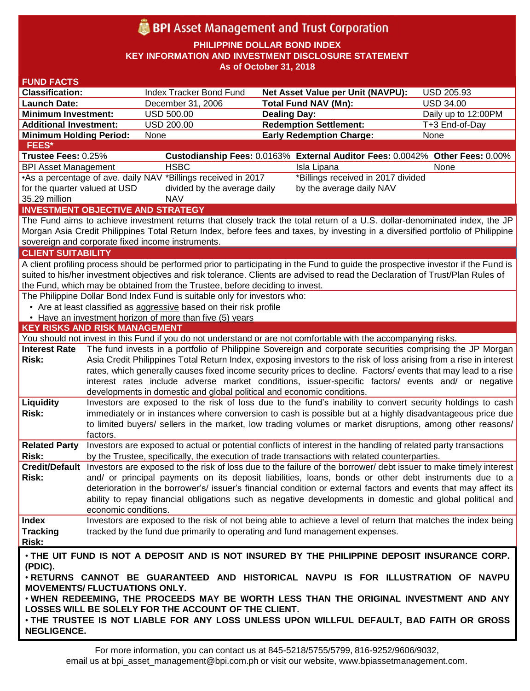# BPI Asset Management and Trust Corporation

**PHILIPPINE DOLLAR BOND INDEX**

**KEY INFORMATION AND INVESTMENT DISCLOSURE STATEMENT**

**As of October 31, 2018**

| <b>FUND FACTS</b>                                                                                                                                                                                              |                                                                                                                |                                                                           |                                                                                                                                    |                     |  |  |  |  |  |
|----------------------------------------------------------------------------------------------------------------------------------------------------------------------------------------------------------------|----------------------------------------------------------------------------------------------------------------|---------------------------------------------------------------------------|------------------------------------------------------------------------------------------------------------------------------------|---------------------|--|--|--|--|--|
| <b>Classification:</b>                                                                                                                                                                                         |                                                                                                                | Index Tracker Bond Fund                                                   | <b>Net Asset Value per Unit (NAVPU):</b>                                                                                           | <b>USD 205.93</b>   |  |  |  |  |  |
| <b>Launch Date:</b>                                                                                                                                                                                            |                                                                                                                | December 31, 2006                                                         | <b>Total Fund NAV (Mn):</b>                                                                                                        | <b>USD 34.00</b>    |  |  |  |  |  |
| <b>Minimum Investment:</b>                                                                                                                                                                                     |                                                                                                                | <b>USD 500.00</b>                                                         | <b>Dealing Day:</b>                                                                                                                | Daily up to 12:00PM |  |  |  |  |  |
| <b>Additional Investment:</b>                                                                                                                                                                                  |                                                                                                                | <b>USD 200.00</b>                                                         | <b>Redemption Settlement:</b>                                                                                                      | T+3 End-of-Day      |  |  |  |  |  |
| <b>Minimum Holding Period:</b>                                                                                                                                                                                 |                                                                                                                | None                                                                      | <b>Early Redemption Charge:</b>                                                                                                    | None                |  |  |  |  |  |
| <b>FEES*</b>                                                                                                                                                                                                   |                                                                                                                |                                                                           |                                                                                                                                    |                     |  |  |  |  |  |
| Trustee Fees: 0.25%                                                                                                                                                                                            |                                                                                                                |                                                                           | Custodianship Fees: 0.0163% External Auditor Fees: 0.0042% Other Fees: 0.00%                                                       |                     |  |  |  |  |  |
| <b>BPI Asset Management</b>                                                                                                                                                                                    |                                                                                                                | <b>HSBC</b>                                                               | Isla Lipana                                                                                                                        | None                |  |  |  |  |  |
|                                                                                                                                                                                                                | •As a percentage of ave. daily NAV *Billings received in 2017<br>*Billings received in 2017 divided            |                                                                           |                                                                                                                                    |                     |  |  |  |  |  |
| for the quarter valued at USD                                                                                                                                                                                  |                                                                                                                | divided by the average daily                                              | by the average daily NAV                                                                                                           |                     |  |  |  |  |  |
| 35.29 million                                                                                                                                                                                                  |                                                                                                                | <b>NAV</b>                                                                |                                                                                                                                    |                     |  |  |  |  |  |
|                                                                                                                                                                                                                |                                                                                                                | <b>INVESTMENT OBJECTIVE AND STRATEGY</b>                                  |                                                                                                                                    |                     |  |  |  |  |  |
|                                                                                                                                                                                                                |                                                                                                                |                                                                           | The Fund aims to achieve investment returns that closely track the total return of a U.S. dollar-denominated index, the JP         |                     |  |  |  |  |  |
|                                                                                                                                                                                                                |                                                                                                                | sovereign and corporate fixed income instruments.                         | Morgan Asia Credit Philippines Total Return Index, before fees and taxes, by investing in a diversified portfolio of Philippine    |                     |  |  |  |  |  |
| <b>CLIENT SUITABILITY</b>                                                                                                                                                                                      |                                                                                                                |                                                                           |                                                                                                                                    |                     |  |  |  |  |  |
|                                                                                                                                                                                                                |                                                                                                                |                                                                           | A client profiling process should be performed prior to participating in the Fund to guide the prospective investor if the Fund is |                     |  |  |  |  |  |
|                                                                                                                                                                                                                |                                                                                                                |                                                                           |                                                                                                                                    |                     |  |  |  |  |  |
| suited to his/her investment objectives and risk tolerance. Clients are advised to read the Declaration of Trust/Plan Rules of<br>the Fund, which may be obtained from the Trustee, before deciding to invest. |                                                                                                                |                                                                           |                                                                                                                                    |                     |  |  |  |  |  |
|                                                                                                                                                                                                                |                                                                                                                | The Philippine Dollar Bond Index Fund is suitable only for investors who: |                                                                                                                                    |                     |  |  |  |  |  |
|                                                                                                                                                                                                                |                                                                                                                | • Are at least classified as aggressive based on their risk profile       |                                                                                                                                    |                     |  |  |  |  |  |
|                                                                                                                                                                                                                |                                                                                                                | • Have an investment horizon of more than five (5) years                  |                                                                                                                                    |                     |  |  |  |  |  |
| <b>KEY RISKS AND RISK MANAGEMENT</b>                                                                                                                                                                           |                                                                                                                |                                                                           |                                                                                                                                    |                     |  |  |  |  |  |
|                                                                                                                                                                                                                |                                                                                                                |                                                                           | You should not invest in this Fund if you do not understand or are not comfortable with the accompanying risks.                    |                     |  |  |  |  |  |
| <b>Interest Rate</b>                                                                                                                                                                                           |                                                                                                                |                                                                           | The fund invests in a portfolio of Philippine Sovereign and corporate securities comprising the JP Morgan                          |                     |  |  |  |  |  |
| Risk:                                                                                                                                                                                                          |                                                                                                                |                                                                           | Asia Credit Philippines Total Return Index, exposing investors to the risk of loss arising from a rise in interest                 |                     |  |  |  |  |  |
|                                                                                                                                                                                                                | rates, which generally causes fixed income security prices to decline. Factors/ events that may lead to a rise |                                                                           |                                                                                                                                    |                     |  |  |  |  |  |
|                                                                                                                                                                                                                |                                                                                                                |                                                                           | interest rates include adverse market conditions, issuer-specific factors/ events and/ or negative                                 |                     |  |  |  |  |  |
|                                                                                                                                                                                                                |                                                                                                                | developments in domestic and global political and economic conditions.    |                                                                                                                                    |                     |  |  |  |  |  |
| Liquidity                                                                                                                                                                                                      |                                                                                                                |                                                                           | Investors are exposed to the risk of loss due to the fund's inability to convert security holdings to cash                         |                     |  |  |  |  |  |
| Risk:                                                                                                                                                                                                          | immediately or in instances where conversion to cash is possible but at a highly disadvantageous price due     |                                                                           |                                                                                                                                    |                     |  |  |  |  |  |
|                                                                                                                                                                                                                | to limited buyers/ sellers in the market, low trading volumes or market disruptions, among other reasons/      |                                                                           |                                                                                                                                    |                     |  |  |  |  |  |
|                                                                                                                                                                                                                | factors.                                                                                                       |                                                                           |                                                                                                                                    |                     |  |  |  |  |  |
| <b>Related Party</b>                                                                                                                                                                                           |                                                                                                                |                                                                           | Investors are exposed to actual or potential conflicts of interest in the handling of related party transactions                   |                     |  |  |  |  |  |
| Risk:                                                                                                                                                                                                          |                                                                                                                |                                                                           | by the Trustee, specifically, the execution of trade transactions with related counterparties.                                     |                     |  |  |  |  |  |
|                                                                                                                                                                                                                |                                                                                                                |                                                                           | Credit/Default Investors are exposed to the risk of loss due to the failure of the borrower/ debt issuer to make timely interest   |                     |  |  |  |  |  |
| Risk:                                                                                                                                                                                                          | and/ or principal payments on its deposit liabilities, loans, bonds or other debt instruments due to a         |                                                                           |                                                                                                                                    |                     |  |  |  |  |  |
|                                                                                                                                                                                                                |                                                                                                                |                                                                           | deterioration in the borrower's/ issuer's financial condition or external factors and events that may affect its                   |                     |  |  |  |  |  |
|                                                                                                                                                                                                                |                                                                                                                |                                                                           | ability to repay financial obligations such as negative developments in domestic and global political and                          |                     |  |  |  |  |  |
|                                                                                                                                                                                                                | economic conditions.                                                                                           |                                                                           |                                                                                                                                    |                     |  |  |  |  |  |
| <b>Index</b>                                                                                                                                                                                                   |                                                                                                                |                                                                           | Investors are exposed to the risk of not being able to achieve a level of return that matches the index being                      |                     |  |  |  |  |  |
| <b>Tracking</b>                                                                                                                                                                                                |                                                                                                                |                                                                           | tracked by the fund due primarily to operating and fund management expenses.                                                       |                     |  |  |  |  |  |
| Risk:                                                                                                                                                                                                          |                                                                                                                |                                                                           |                                                                                                                                    |                     |  |  |  |  |  |
|                                                                                                                                                                                                                |                                                                                                                |                                                                           | . THE UIT FUND IS NOT A DEPOSIT AND IS NOT INSURED BY THE PHILIPPINE DEPOSIT INSURANCE CORP.                                       |                     |  |  |  |  |  |
| (PDIC).                                                                                                                                                                                                        |                                                                                                                |                                                                           |                                                                                                                                    |                     |  |  |  |  |  |
| . RETURNS CANNOT BE GUARANTEED AND HISTORICAL NAVPU IS FOR ILLUSTRATION OF NAVPU                                                                                                                               |                                                                                                                |                                                                           |                                                                                                                                    |                     |  |  |  |  |  |
| <b>MOVEMENTS/ FLUCTUATIONS ONLY.</b><br>. WHEN REDEEMING, THE PROCEEDS MAY BE WORTH LESS THAN THE ORIGINAL INVESTMENT AND ANY                                                                                  |                                                                                                                |                                                                           |                                                                                                                                    |                     |  |  |  |  |  |
|                                                                                                                                                                                                                |                                                                                                                |                                                                           |                                                                                                                                    |                     |  |  |  |  |  |
|                                                                                                                                                                                                                |                                                                                                                | LOSSES WILL BE SOLELY FOR THE ACCOUNT OF THE CLIENT.                      |                                                                                                                                    |                     |  |  |  |  |  |
| . THE TRUSTEE IS NOT LIABLE FOR ANY LOSS UNLESS UPON WILLFUL DEFAULT, BAD FAITH OR GROSS                                                                                                                       |                                                                                                                |                                                                           |                                                                                                                                    |                     |  |  |  |  |  |
| <b>NEGLIGENCE.</b>                                                                                                                                                                                             |                                                                                                                |                                                                           |                                                                                                                                    |                     |  |  |  |  |  |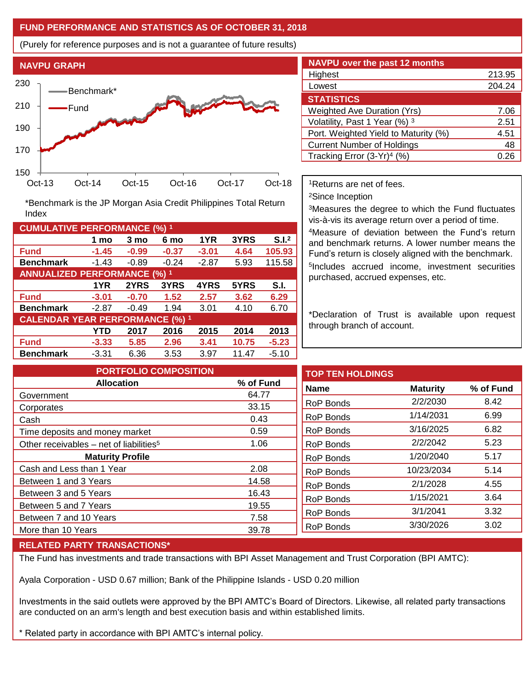### **FUND PERFORMANCE AND STATISTICS AS OF OCTOBER 31, 2018**

(Purely for reference purposes and is not a guarantee of future results)



**Fund -1.45 -0.99 -0.37 -3.01 4.64 105.93 Benchmark** -1.43 -0.89 -0.24 -2.87 5.93 115.58

\*Benchmark is the JP Morgan Asia Credit Philippines Total Return

**Fund -3.01 -0.70 1.52 2.57 3.62 6.29 Benchmark** -2.87 -0.49 1.94 3.01 4.10 6.70

**Fund -3.33 5.85 2.96 3.41 10.75 -5.23 Benchmark** -3.31 6.36 3.53 3.97 11.47 -5.10

**1 mo 3 mo 6 mo 1YR 3YRS S.I.<sup>2</sup>**

**1YR 2YRS 3YRS 4YRS 5YRS S.I.**

**YTD 2017 2016 2015 2014 2013**

| <b>NAVPU</b> over the past 12 months |        |  |  |  |  |  |
|--------------------------------------|--------|--|--|--|--|--|
| Highest                              | 213.95 |  |  |  |  |  |
| Lowest                               | 204.24 |  |  |  |  |  |
| <b>STATISTICS</b>                    |        |  |  |  |  |  |
| <b>Weighted Ave Duration (Yrs)</b>   | 7.06   |  |  |  |  |  |
| Volatility, Past 1 Year (%) 3        | 2.51   |  |  |  |  |  |
| Port. Weighted Yield to Maturity (%) | 4.51   |  |  |  |  |  |
| <b>Current Number of Holdings</b>    | 48     |  |  |  |  |  |
| Tracking Error $(3-Yr)^4$ (%)        |        |  |  |  |  |  |

<sup>1</sup>Returns are net of fees.

<sup>2</sup>Since Inception

<sup>3</sup>Measures the degree to which the Fund fluctuates vis-à-vis its average return over a period of time.

<sup>4</sup>Measure of deviation between the Fund's return and benchmark returns. A lower number means the Fund's return is closely aligned with the benchmark. 5 Includes accrued income, investment securities purchased, accrued expenses, etc.

\*Declaration of Trust is available upon request through branch of account.

| <b>PORTFOLIO COMPOSITION</b>                        |           | <b>TOP TEN HOLDINGS</b> |                 |           |
|-----------------------------------------------------|-----------|-------------------------|-----------------|-----------|
| <b>Allocation</b>                                   | % of Fund | <b>Name</b>             | <b>Maturity</b> | % of Fund |
| Government                                          | 64.77     |                         |                 |           |
| Corporates                                          | 33.15     | <b>RoP Bonds</b>        | 2/2/2030        | 8.42      |
| Cash                                                | 0.43      | <b>RoP Bonds</b>        | 1/14/2031       | 6.99      |
| Time deposits and money market                      | 0.59      | RoP Bonds               | 3/16/2025       | 6.82      |
| Other receivables – net of liabilities <sup>5</sup> | 1.06      | <b>RoP Bonds</b>        | 2/2/2042        | 5.23      |
| <b>Maturity Profile</b>                             |           | RoP Bonds               | 1/20/2040       | 5.17      |
| Cash and Less than 1 Year                           | 2.08      | RoP Bonds               | 10/23/2034      | 5.14      |
| Between 1 and 3 Years                               | 14.58     | <b>RoP Bonds</b>        | 2/1/2028        | 4.55      |
| Between 3 and 5 Years                               | 16.43     |                         |                 |           |
| Between 5 and 7 Years                               | 19.55     | RoP Bonds               | 1/15/2021       | 3.64      |
| Between 7 and 10 Years                              | 7.58      | RoP Bonds               | 3/1/2041        | 3.32      |
|                                                     |           | <b>RoP Bonds</b>        | 3/30/2026       | 3.02      |
| More than 10 Years                                  | 39.78     |                         |                 |           |

#### **RELATED PARTY TRANSACTIONS\***

**CUMULATIVE PERFORMANCE (%) <sup>1</sup>**

Index

**ANNUALIZED PERFORMANCE (%) <sup>1</sup>**

**CALENDAR YEAR PERFORMANCE (%) <sup>1</sup>**

The Fund has investments and trade transactions with BPI Asset Management and Trust Corporation (BPI AMTC):

Ayala Corporation - USD 0.67 million; Bank of the Philippine Islands - USD 0.20 million

Investments in the said outlets were approved by the BPI AMTC's Board of Directors. Likewise, all related party transactions are conducted on an arm's length and best execution basis and within established limits.

\* Related party in accordance with BPI AMTC's internal policy.